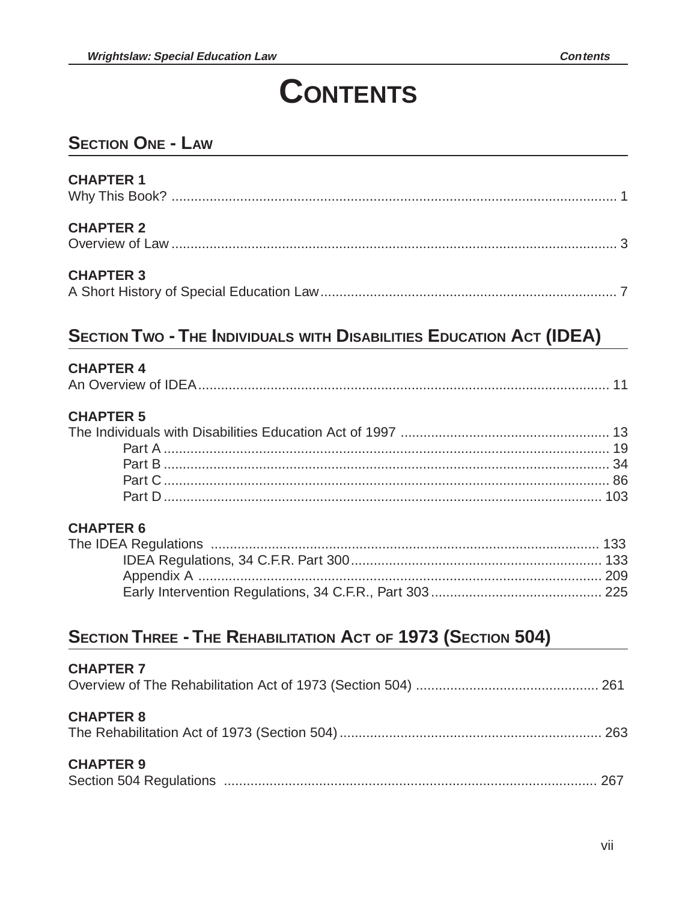# **CONTENTS**

### **SECTION ONE - LAW**

| <b>CHAPTER 1</b> |  |
|------------------|--|
| <b>CHAPTER 2</b> |  |
| <b>CHAPTER 3</b> |  |

## **SECTION TWO - THE INDIVIDUALS WITH DISABILITIES EDUCATION ACT (IDEA)**

#### **CHAPTER 4**

|--|--|

#### **CHAPTER 5**

#### **CHAPTER 6**

### **SECTION THREE - THE REHABILITATION ACT OF 1973 (SECTION 504)**

| <b>CHAPTER 7</b> |  |
|------------------|--|
| <b>CHAPTER 8</b> |  |
| <b>CHAPTER 9</b> |  |